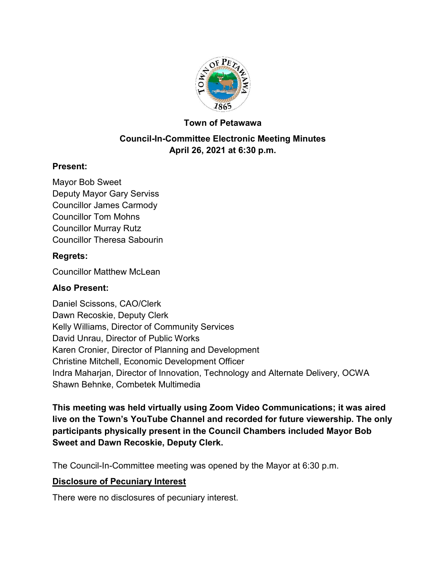

#### **Town of Petawawa**

### **Council-In-Committee Electronic Meeting Minutes April 26, 2021 at 6:30 p.m.**

#### **Present:**

Mayor Bob Sweet Deputy Mayor Gary Serviss Councillor James Carmody Councillor Tom Mohns Councillor Murray Rutz Councillor Theresa Sabourin

#### **Regrets:**

Councillor Matthew McLean

#### **Also Present:**

Daniel Scissons, CAO/Clerk Dawn Recoskie, Deputy Clerk Kelly Williams, Director of Community Services David Unrau, Director of Public Works Karen Cronier, Director of Planning and Development Christine Mitchell, Economic Development Officer Indra Maharjan, Director of Innovation, Technology and Alternate Delivery, OCWA Shawn Behnke, Combetek Multimedia

**This meeting was held virtually using Zoom Video Communications; it was aired live on the Town's YouTube Channel and recorded for future viewership. The only participants physically present in the Council Chambers included Mayor Bob Sweet and Dawn Recoskie, Deputy Clerk.**

The Council-In-Committee meeting was opened by the Mayor at 6:30 p.m.

#### **Disclosure of Pecuniary Interest**

There were no disclosures of pecuniary interest.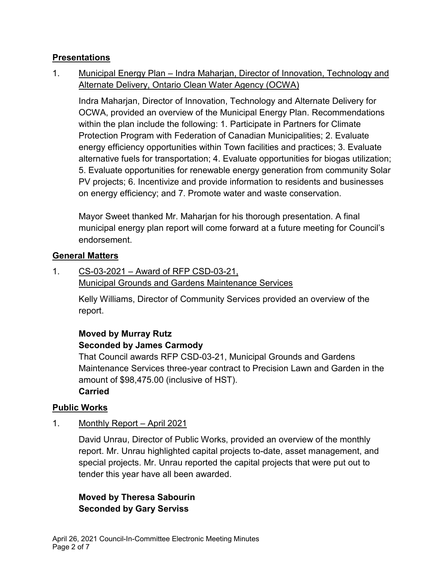### **Presentations**

1. Municipal Energy Plan – Indra Maharjan, Director of Innovation, Technology and Alternate Delivery, Ontario Clean Water Agency (OCWA)

Indra Maharjan, Director of Innovation, Technology and Alternate Delivery for OCWA, provided an overview of the Municipal Energy Plan. Recommendations within the plan include the following: 1. Participate in Partners for Climate Protection Program with Federation of Canadian Municipalities; 2. Evaluate energy efficiency opportunities within Town facilities and practices; 3. Evaluate alternative fuels for transportation; 4. Evaluate opportunities for biogas utilization; 5. Evaluate opportunities for renewable energy generation from community Solar PV projects; 6. Incentivize and provide information to residents and businesses on energy efficiency; and 7. Promote water and waste conservation.

Mayor Sweet thanked Mr. Maharjan for his thorough presentation. A final municipal energy plan report will come forward at a future meeting for Council's endorsement.

### **General Matters**

1. CS-03-2021 – Award of RFP CSD-03-21, Municipal Grounds and Gardens Maintenance Services

> Kelly Williams, Director of Community Services provided an overview of the report.

# **Moved by Murray Rutz Seconded by James Carmody**

That Council awards RFP CSD-03-21, Municipal Grounds and Gardens Maintenance Services three-year contract to Precision Lawn and Garden in the amount of \$98,475.00 (inclusive of HST). **Carried**

### **Public Works**

1. Monthly Report – April 2021

David Unrau, Director of Public Works, provided an overview of the monthly report. Mr. Unrau highlighted capital projects to-date, asset management, and special projects. Mr. Unrau reported the capital projects that were put out to tender this year have all been awarded.

# **Moved by Theresa Sabourin Seconded by Gary Serviss**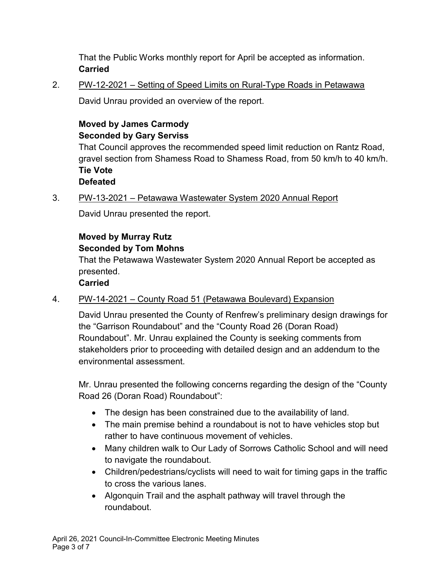That the Public Works monthly report for April be accepted as information. **Carried**

2. PW-12-2021 – Setting of Speed Limits on Rural-Type Roads in Petawawa

David Unrau provided an overview of the report.

# **Moved by James Carmody Seconded by Gary Serviss**

That Council approves the recommended speed limit reduction on Rantz Road, gravel section from Shamess Road to Shamess Road, from 50 km/h to 40 km/h. **Tie Vote Defeated**

# 3. PW-13-2021 – Petawawa Wastewater System 2020 Annual Report

David Unrau presented the report.

# **Moved by Murray Rutz**

### **Seconded by Tom Mohns**

That the Petawawa Wastewater System 2020 Annual Report be accepted as presented.

### **Carried**

# 4. PW-14-2021 – County Road 51 (Petawawa Boulevard) Expansion

David Unrau presented the County of Renfrew's preliminary design drawings for the "Garrison Roundabout" and the "County Road 26 (Doran Road) Roundabout". Mr. Unrau explained the County is seeking comments from stakeholders prior to proceeding with detailed design and an addendum to the environmental assessment.

Mr. Unrau presented the following concerns regarding the design of the "County Road 26 (Doran Road) Roundabout":

- · The design has been constrained due to the availability of land.
- The main premise behind a roundabout is not to have vehicles stop but rather to have continuous movement of vehicles.
- · Many children walk to Our Lady of Sorrows Catholic School and will need to navigate the roundabout.
- Children/pedestrians/cyclists will need to wait for timing gaps in the traffic to cross the various lanes.
- · Algonquin Trail and the asphalt pathway will travel through the roundabout.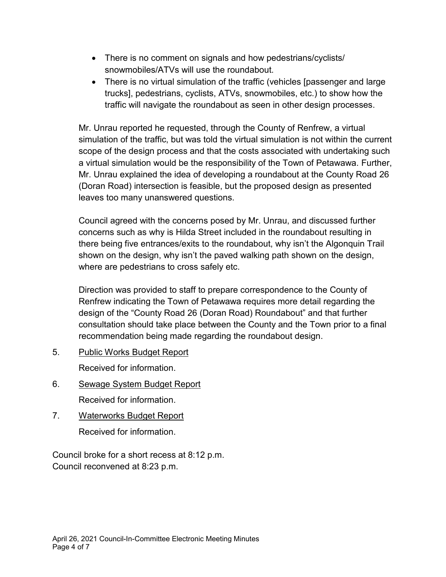- There is no comment on signals and how pedestrians/cyclists/ snowmobiles/ATVs will use the roundabout.
- · There is no virtual simulation of the traffic (vehicles [passenger and large trucks], pedestrians, cyclists, ATVs, snowmobiles, etc.) to show how the traffic will navigate the roundabout as seen in other design processes.

Mr. Unrau reported he requested, through the County of Renfrew, a virtual simulation of the traffic, but was told the virtual simulation is not within the current scope of the design process and that the costs associated with undertaking such a virtual simulation would be the responsibility of the Town of Petawawa. Further, Mr. Unrau explained the idea of developing a roundabout at the County Road 26 (Doran Road) intersection is feasible, but the proposed design as presented leaves too many unanswered questions.

Council agreed with the concerns posed by Mr. Unrau, and discussed further concerns such as why is Hilda Street included in the roundabout resulting in there being five entrances/exits to the roundabout, why isn't the Algonquin Trail shown on the design, why isn't the paved walking path shown on the design, where are pedestrians to cross safely etc.

Direction was provided to staff to prepare correspondence to the County of Renfrew indicating the Town of Petawawa requires more detail regarding the design of the "County Road 26 (Doran Road) Roundabout" and that further consultation should take place between the County and the Town prior to a final recommendation being made regarding the roundabout design.

5. Public Works Budget Report

Received for information.

- 6. Sewage System Budget Report Received for information.
- 7. Waterworks Budget Report Received for information.

Council broke for a short recess at 8:12 p.m. Council reconvened at 8:23 p.m.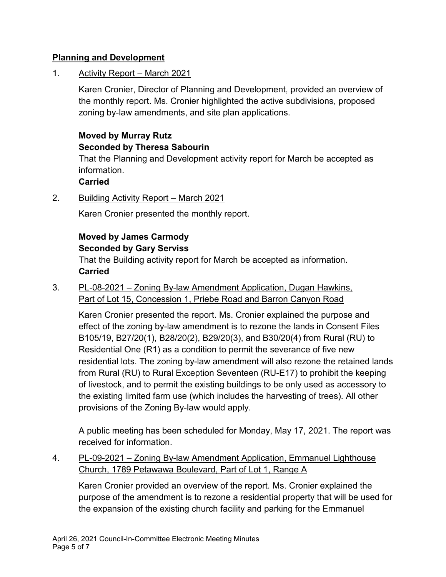### **Planning and Development**

1. Activity Report – March 2021

Karen Cronier, Director of Planning and Development, provided an overview of the monthly report. Ms. Cronier highlighted the active subdivisions, proposed zoning by-law amendments, and site plan applications.

# **Moved by Murray Rutz Seconded by Theresa Sabourin**

That the Planning and Development activity report for March be accepted as information.

# **Carried**

2. Building Activity Report – March 2021

Karen Cronier presented the monthly report.

### **Moved by James Carmody Seconded by Gary Serviss**

That the Building activity report for March be accepted as information. **Carried**

3. PL-08-2021 – Zoning By-law Amendment Application, Dugan Hawkins, Part of Lot 15, Concession 1, Priebe Road and Barron Canyon Road

Karen Cronier presented the report. Ms. Cronier explained the purpose and effect of the zoning by-law amendment is to rezone the lands in Consent Files B105/19, B27/20(1), B28/20(2), B29/20(3), and B30/20(4) from Rural (RU) to Residential One (R1) as a condition to permit the severance of five new residential lots. The zoning by-law amendment will also rezone the retained lands from Rural (RU) to Rural Exception Seventeen (RU-E17) to prohibit the keeping of livestock, and to permit the existing buildings to be only used as accessory to the existing limited farm use (which includes the harvesting of trees). All other provisions of the Zoning By-law would apply.

A public meeting has been scheduled for Monday, May 17, 2021. The report was received for information.

4. PL-09-2021 – Zoning By-law Amendment Application, Emmanuel Lighthouse Church, 1789 Petawawa Boulevard, Part of Lot 1, Range A

Karen Cronier provided an overview of the report. Ms. Cronier explained the purpose of the amendment is to rezone a residential property that will be used for the expansion of the existing church facility and parking for the Emmanuel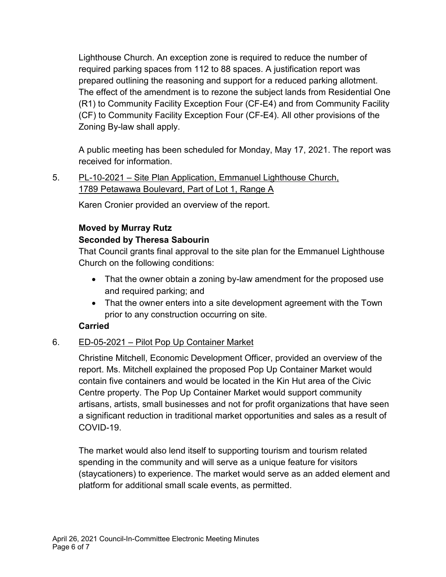Lighthouse Church. An exception zone is required to reduce the number of required parking spaces from 112 to 88 spaces. A justification report was prepared outlining the reasoning and support for a reduced parking allotment. The effect of the amendment is to rezone the subject lands from Residential One (R1) to Community Facility Exception Four (CF-E4) and from Community Facility (CF) to Community Facility Exception Four (CF-E4). All other provisions of the Zoning By-law shall apply.

A public meeting has been scheduled for Monday, May 17, 2021. The report was received for information.

5. PL-10-2021 – Site Plan Application, Emmanuel Lighthouse Church, 1789 Petawawa Boulevard, Part of Lot 1, Range A

Karen Cronier provided an overview of the report.

# **Moved by Murray Rutz**

# **Seconded by Theresa Sabourin**

That Council grants final approval to the site plan for the Emmanuel Lighthouse Church on the following conditions:

- That the owner obtain a zoning by-law amendment for the proposed use and required parking; and
- That the owner enters into a site development agreement with the Town prior to any construction occurring on site.

# **Carried**

# 6. ED-05-2021 – Pilot Pop Up Container Market

Christine Mitchell, Economic Development Officer, provided an overview of the report. Ms. Mitchell explained the proposed Pop Up Container Market would contain five containers and would be located in the Kin Hut area of the Civic Centre property. The Pop Up Container Market would support community artisans, artists, small businesses and not for profit organizations that have seen a significant reduction in traditional market opportunities and sales as a result of COVID-19.

The market would also lend itself to supporting tourism and tourism related spending in the community and will serve as a unique feature for visitors (staycationers) to experience. The market would serve as an added element and platform for additional small scale events, as permitted.